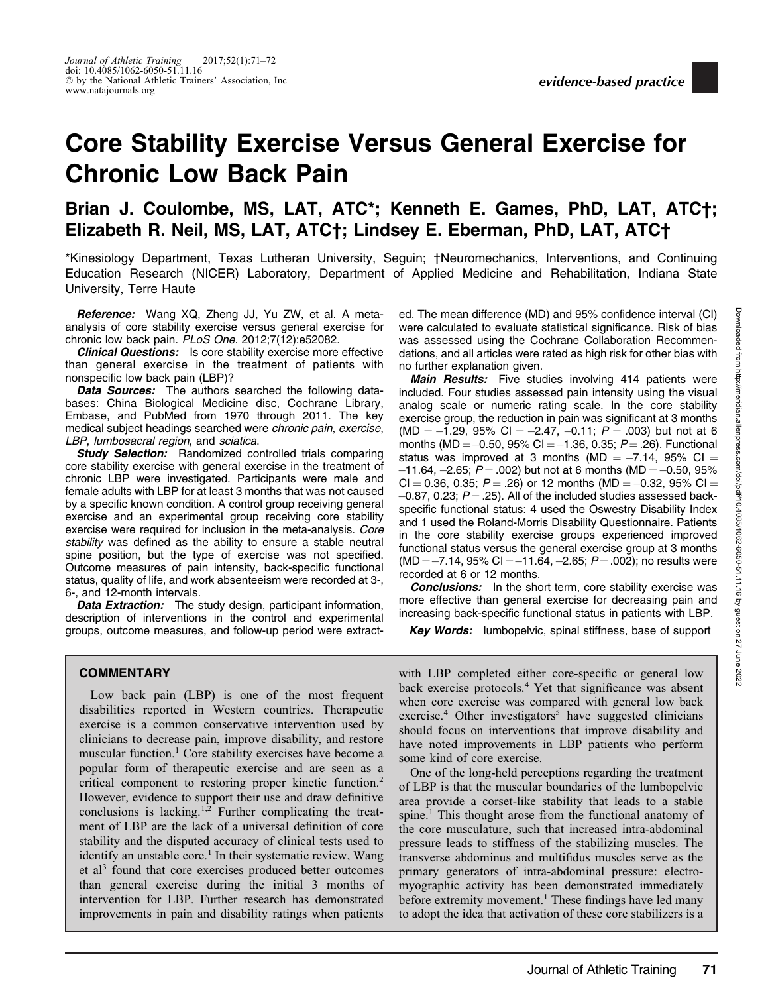## Core Stability Exercise Versus General Exercise for Chronic Low Back Pain

## Brian J. Coulombe, MS, LAT, ATC\*; Kenneth E. Games, PhD, LAT, ATC†; Elizabeth R. Neil, MS, LAT, ATC†; Lindsey E. Eberman, PhD, LAT, ATC†

\*Kinesiology Department, Texas Lutheran University, Seguin; †Neuromechanics, Interventions, and Continuing Education Research (NICER) Laboratory, Department of Applied Medicine and Rehabilitation, Indiana State University, Terre Haute

Reference: Wang XQ, Zheng JJ, Yu ZW, et al. A metaanalysis of core stability exercise versus general exercise for chronic low back pain. PLoS One. 2012;7(12):e52082.

**Clinical Questions:** Is core stability exercise more effective than general exercise in the treatment of patients with nonspecific low back pain (LBP)?

Data Sources: The authors searched the following databases: China Biological Medicine disc, Cochrane Library, Embase, and PubMed from 1970 through 2011. The key medical subject headings searched were chronic pain, exercise, LBP, lumbosacral region, and sciatica.

**Study Selection:** Randomized controlled trials comparing core stability exercise with general exercise in the treatment of chronic LBP were investigated. Participants were male and female adults with LBP for at least 3 months that was not caused by a specific known condition. A control group receiving general exercise and an experimental group receiving core stability exercise were required for inclusion in the meta-analysis. Core stability was defined as the ability to ensure a stable neutral spine position, but the type of exercise was not specified. Outcome measures of pain intensity, back-specific functional status, quality of life, and work absenteeism were recorded at 3-, 6-, and 12-month intervals.

Data Extraction: The study design, participant information, description of interventions in the control and experimental groups, outcome measures, and follow-up period were extract-

**COMMENTARY** 

Low back pain (LBP) is one of the most frequent disabilities reported in Western countries. Therapeutic exercise is a common conservative intervention used by clinicians to decrease pain, improve disability, and restore muscular function.<sup>1</sup> Core stability exercises have become a popular form of therapeutic exercise and are seen as a critical component to restoring proper kinetic function.<sup>2</sup> However, evidence to support their use and draw definitive conclusions is lacking.<sup>1,2</sup> Further complicating the treatment of LBP are the lack of a universal definition of core stability and the disputed accuracy of clinical tests used to identify an unstable core.<sup>1</sup> In their systematic review, Wang et al<sup>3</sup> found that core exercises produced better outcomes than general exercise during the initial 3 months of intervention for LBP. Further research has demonstrated improvements in pain and disability ratings when patients

ed. The mean difference (MD) and 95% confidence interval (CI) were calculated to evaluate statistical significance. Risk of bias was assessed using the Cochrane Collaboration Recommendations, and all articles were rated as high risk for other bias with no further explanation given.

**Main Results:** Five studies involving 414 patients were included. Four studies assessed pain intensity using the visual analog scale or numeric rating scale. In the core stability exercise group, the reduction in pain was significant at 3 months (MD =  $-1.29$ , 95% CI =  $-2.47$ ,  $-0.11$ ;  $P = .003$ ) but not at 6 months (MD  $=-0.50$ , 95% Cl  $=-1.36$ , 0.35;  $P$   $=$  .26). Functional status was improved at 3 months (MD  $=$  -7.14, 95% CI  $=$  $-11.64$ ,  $-2.65$ ;  $P = .002$ ) but not at 6 months (MD  $= -0.50$ , 95% CI = 0.36, 0.35; P = .26) or 12 months (MD = –0.32, 95% CI =  $-0.87$ , 0.23;  $P = .25$ ). All of the included studies assessed backspecific functional status: 4 used the Oswestry Disability Index and 1 used the Roland-Morris Disability Questionnaire. Patients in the core stability exercise groups experienced improved functional status versus the general exercise group at 3 months (MD =  $-7.14$ , 95% CI =  $-11.64$ ,  $-2.65$ ;  $P = .002$ ); no results were recorded at 6 or 12 months.

Conclusions: In the short term, core stability exercise was more effective than general exercise for decreasing pain and increasing back-specific functional status in patients with LBP.

Key Words: lumbopelvic, spinal stiffness, base of support

with LBP completed either core-specific or general low back exercise protocols.<sup>4</sup> Yet that significance was absent when core exercise was compared with general low back exercise.<sup>4</sup> Other investigators<sup>5</sup> have suggested clinicians should focus on interventions that improve disability and have noted improvements in LBP patients who perform some kind of core exercise.

One of the long-held perceptions regarding the treatment of LBP is that the muscular boundaries of the lumbopelvic area provide a corset-like stability that leads to a stable spine.<sup>1</sup> This thought arose from the functional anatomy of the core musculature, such that increased intra-abdominal pressure leads to stiffness of the stabilizing muscles. The transverse abdominus and multifidus muscles serve as the primary generators of intra-abdominal pressure: electromyographic activity has been demonstrated immediately before extremity movement.<sup>1</sup> These findings have led many to adopt the idea that activation of these core stabilizers is a